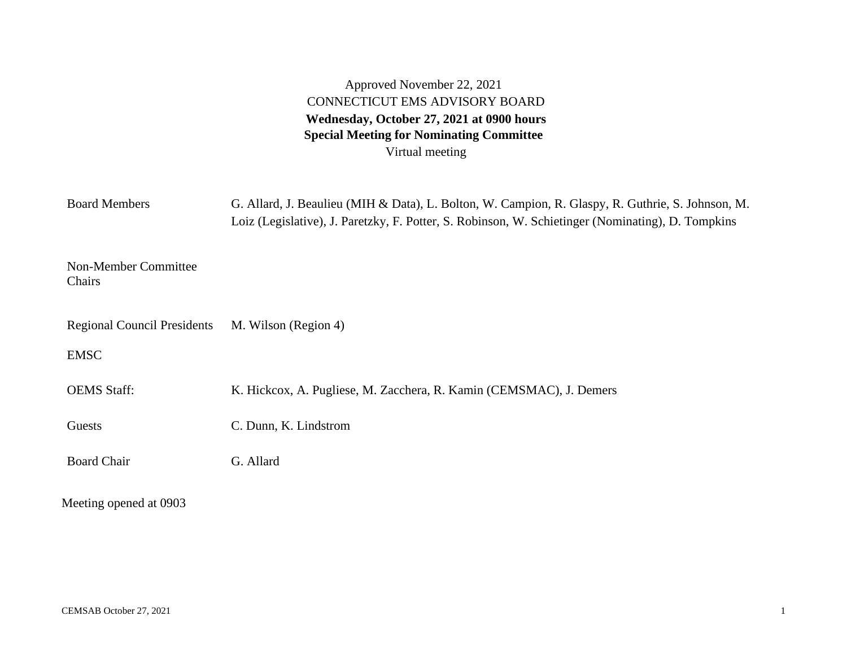Approved November 22, 2021 CONNECTICUT EMS ADVISORY BOARD **Wednesday, October 27, 2021 at 0900 hours Special Meeting for Nominating Committee** Virtual meeting

| <b>Board Members</b>               | G. Allard, J. Beaulieu (MIH & Data), L. Bolton, W. Campion, R. Glaspy, R. Guthrie, S. Johnson, M.<br>Loiz (Legislative), J. Paretzky, F. Potter, S. Robinson, W. Schietinger (Nominating), D. Tompkins |  |  |
|------------------------------------|--------------------------------------------------------------------------------------------------------------------------------------------------------------------------------------------------------|--|--|
| Non-Member Committee<br>Chairs     |                                                                                                                                                                                                        |  |  |
| <b>Regional Council Presidents</b> | M. Wilson (Region 4)                                                                                                                                                                                   |  |  |
| <b>EMSC</b>                        |                                                                                                                                                                                                        |  |  |
| <b>OEMS</b> Staff:                 | K. Hickcox, A. Pugliese, M. Zacchera, R. Kamin (CEMSMAC), J. Demers                                                                                                                                    |  |  |
| Guests                             | C. Dunn, K. Lindstrom                                                                                                                                                                                  |  |  |
| <b>Board Chair</b>                 | G. Allard                                                                                                                                                                                              |  |  |
| Meeting opened at 0903             |                                                                                                                                                                                                        |  |  |